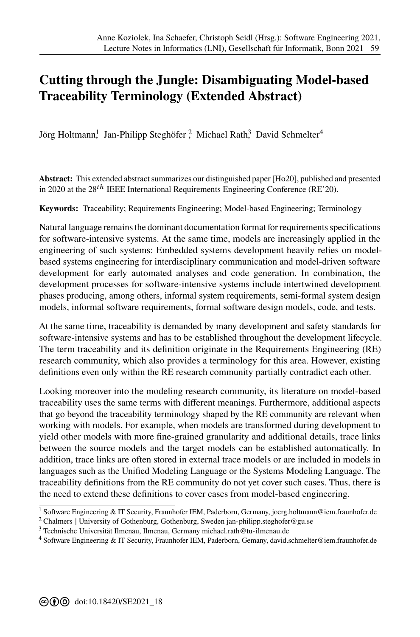## **Cutting through the Jungle: Disambiguating Model-based Traceability Terminology (Extended Abstract)**

Jörg Holtmann, Jan-Philipp Steghöfer ? Michael Rath,<sup>3</sup> David Schmelter<sup>4</sup>

**Abstract:** This extended abstract summarizes our distinguished paper [Ho20], published and presented in 2020 at the  $28<sup>th</sup>$  IEEE International Requirements Engineering Conference (RE'20).

**Keywords:** Traceability; Requirements Engineering; Model-based Engineering; Terminology

Natural language remains the dominant documentation format for requirements specifications for software-intensive systems. At the same time, models are increasingly applied in the engineering of such systems: Embedded systems development heavily relies on modelbased systems engineering for interdisciplinary communicatio[n and m](#page-1-0)odel-driven software development for early automated analyses and code generation. In combination, the development processes for software-intensive systems include intertwined development phases producing, among others, informal system requirements, semi-formal system design models, informal software requirements, formal software design models, code, and tests.

At the same time, traceability is demanded by many development and safety standards for software-intensive systems and has to be established throughout the development lifecycle. The term traceability and its definition originate in the Requirements Engineering (RE) research community, which also provides a terminology for this area. However, existing definitions even only within the RE research community partially contradict each other.

Looking moreover into the modeling research community, its literature on model-based traceability uses the same terms with different meanings. Furthermore, additional aspects that go beyond the traceability terminology shaped by the RE community are relevant when working with models. For example, when models are transformed during development to yield other models with more fine-grained granularity and additional details, trace links between the source models and the target models can be established automatically. In addition, trace links are often stored in external trace models or are included in models in languages such as the Unified Modeling Language or the Systems Modeling Language. The traceability definitions from the RE community do not yet cover such cases. Thus, there is the need to extend these definitions to cover cases from model-based engineering.

<sup>&</sup>lt;sup>1</sup> Software Engineering & IT Security, Fraunhofer IEM, Paderborn, Germany, joerg.holtmann@iem.fraunhofer.de

<sup>2</sup> Chalmers | University of Gothenburg, Gothenburg, Sweden jan-philipp.ste[ghofer@gu.se](mailto:joerg.holtmann@iem.fraunhofer.de)

<sup>&</sup>lt;sup>3</sup> Technische Universität Ilmenau, Ilmenau, Germany michae[l.rath@tu-ilmenau.de](mailto:jan-philipp.steghofer@gu.se)

<sup>4</sup> Software Engineering & IT Security, Fraunhofer IE[M, Paderborn, Gemany, david.s](mailto:michael.rath@tu-ilmenau.de)[chmelter@iem.fraunhofer.de](mailto:david.schmelter@iem.fraunhofer.de)